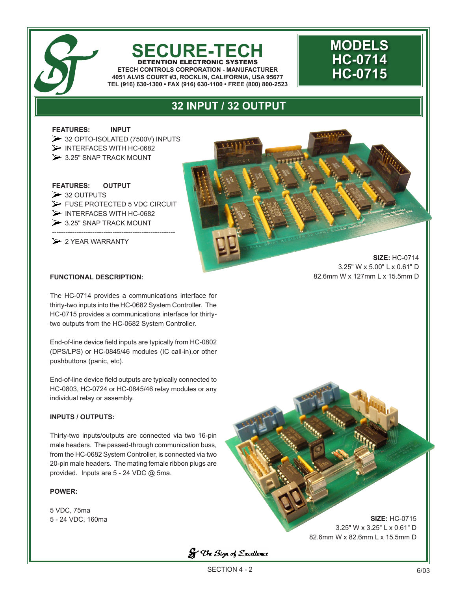

### **SECURE-TECH** DETENTION ELECTRONIC SYSTEMS **ETECH CONTROLS CORPORATION - MANUFACTURER**

**4051 ALVIS COURT #3, ROCKLIN, CALIFORNIA, USA 95677 TEL (916) 630-1300 • FAX (916) 630-1100 • FREE (800) 800-2523**

# **MODELS HC-0714 HC-0715**

## **32 INPUT / 32 OUTPUT**

**FEATURES: INPUT** 

> 32 OPTO-ISOLATED (7500V) INPUTS INTERFACES WITH HC-0682  $\geq$  3.25" SNAP TRACK MOUNT

**FEATURES: OUTPUT**  $\triangleright$  32 OUTPUTS FUSE PROTECTED 5 VDC CIRCUIT  $\triangleright$  INTERFACES WITH HC-0682  $\geq$  3.25" SNAP TRACK MOUNT

-------------------------------------------------------  $\triangleright$  2 YEAR WARRANTY

> **SIZE:** HC-0714 3.25" W x 5.00" L x 0.61" D 82.6mm W x 127mm L x 15.5mm D

#### **FUNCTIONAL DESCRIPTION:**

The HC-0714 provides a communications interface for thirty-two inputs into the HC-0682 System Controller. The HC-0715 provides a communications interface for thirtytwo outputs from the HC-0682 System Controller.

End-of-line device field inputs are typically from HC-0802 (DPS/LPS) or HC-0845/46 modules (IC call-in).or other pushbuttons (panic, etc).

End-of-line device field outputs are typically connected to HC-0803, HC-0724 or HC-0845/46 relay modules or any individual relay or assembly.

#### **INPUTS / OUTPUTS:**

Thirty-two inputs/outputs are connected via two 16-pin male headers. The passed-through communication buss, from the HC-0682 System Controller, is connected via two 20-pin male headers. The mating female ribbon plugs are provided. Inputs are 5 - 24 VDC @ 5ma.

#### **POWER:**

5 VDC, 75ma 5 - 24 VDC, 160ma

**SIZE:** HC-0715 3.25" W x 3.25" L x 0.61" D 82.6mm W x 82.6mm L x 15.5mm D

**S** The Sign of Excellence